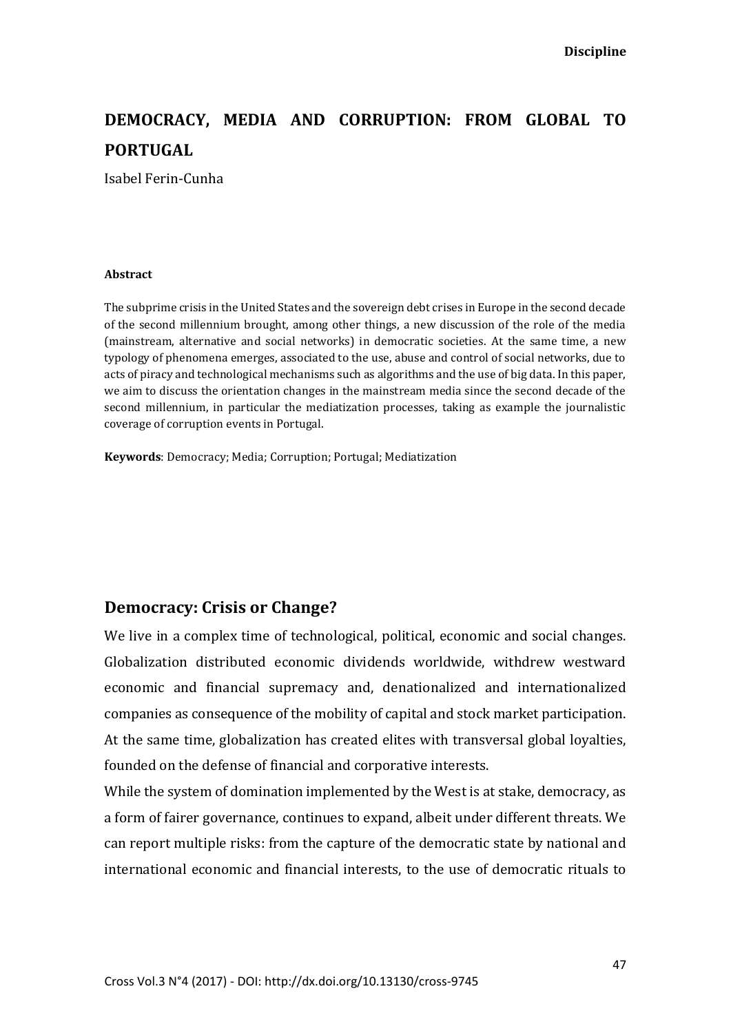# **DEMOCRACY, MEDIA AND CORRUPTION: FROM GLOBAL TO PORTUGAL**

Isabel Ferin-Cunha

#### **Abstract**

The subprime crisis in the United States and the sovereign debt crises in Europe in the second decade of the second millennium brought, among other things, a new discussion of the role of the media (mainstream, alternative and social networks) in democratic societies. At the same time, a new typology of phenomena emerges, associated to the use, abuse and control of social networks, due to acts of piracy and technological mechanisms such as algorithms and the use of big data. In this paper, we aim to discuss the orientation changes in the mainstream media since the second decade of the second millennium, in particular the mediatization processes, taking as example the journalistic coverage of corruption events in Portugal.

**Keywords**: Democracy; Media; Corruption; Portugal; Mediatization

#### **Democracy: Crisis or Change?**

We live in a complex time of technological, political, economic and social changes. Globalization distributed economic dividends worldwide, withdrew westward economic and financial supremacy and, denationalized and internationalized companies as consequence of the mobility of capital and stock market participation. At the same time, globalization has created elites with transversal global loyalties, founded on the defense of financial and corporative interests.

While the system of domination implemented by the West is at stake, democracy, as a form of fairer governance, continues to expand, albeit under different threats. We can report multiple risks: from the capture of the democratic state by national and international economic and financial interests, to the use of democratic rituals to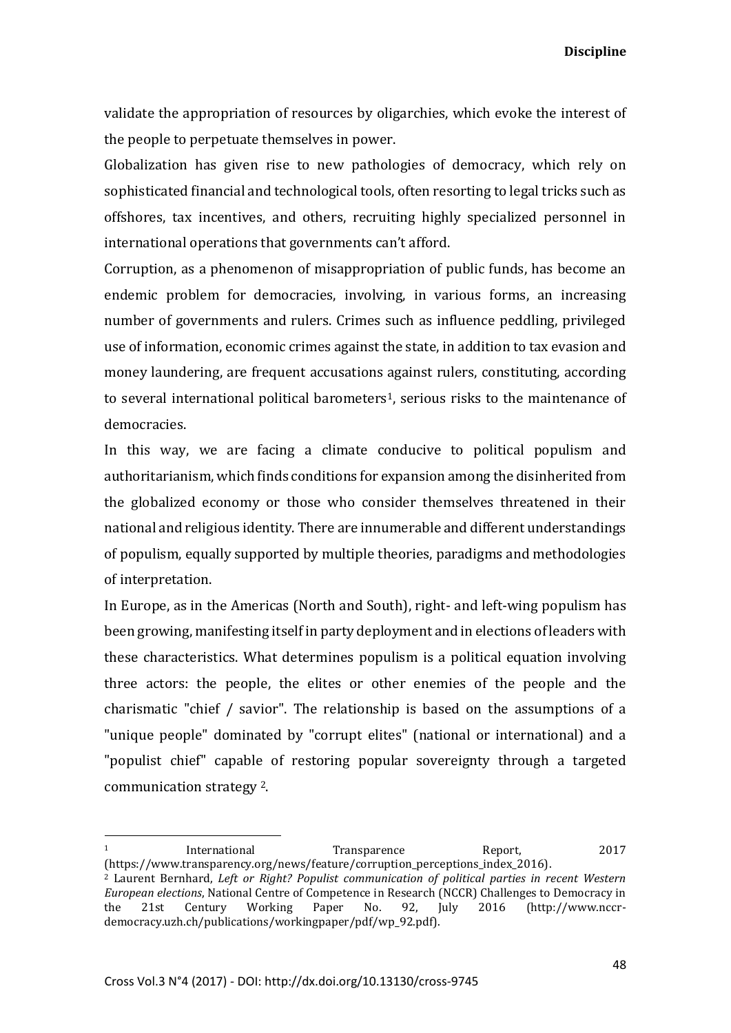validate the appropriation of resources by oligarchies, which evoke the interest of the people to perpetuate themselves in power.

Globalization has given rise to new pathologies of democracy, which rely on sophisticated financial and technological tools, often resorting to legal tricks such as offshores, tax incentives, and others, recruiting highly specialized personnel in international operations that governments can't afford.

Corruption, as a phenomenon of misappropriation of public funds, has become an endemic problem for democracies, involving, in various forms, an increasing number of governments and rulers. Crimes such as influence peddling, privileged use of information, economic crimes against the state, in addition to tax evasion and money laundering, are frequent accusations against rulers, constituting, according to several international political barometers<sup>1</sup>, serious risks to the maintenance of democracies.

In this way, we are facing a climate conducive to political populism and authoritarianism, which finds conditions for expansion among the disinherited from the globalized economy or those who consider themselves threatened in their national and religious identity. There are innumerable and different understandings of populism, equally supported by multiple theories, paradigms and methodologies of interpretation.

In Europe, as in the Americas (North and South), right- and left-wing populism has been growing, manifesting itself in party deployment and in elections of leaders with these characteristics. What determines populism is a political equation involving three actors: the people, the elites or other enemies of the people and the charismatic "chief / savior". The relationship is based on the assumptions of a "unique people" dominated by "corrupt elites" (national or international) and a "populist chief" capable of restoring popular sovereignty through a targeted communication strategy 2.

1

<sup>1</sup> International Transparence Report, 2017 (https://www.transparency.org/news/feature/corruption\_perceptions\_index\_2016).

<sup>2</sup> Laurent Bernhard, *Left or Right? Populist communication of political parties in recent Western European elections*, National Centre of Competence in Research (NCCR) Challenges to Democracy in the 21st Century Working Paper No. 92, July 2016 (http://www.nccrdemocracy.uzh.ch/publications/workingpaper/pdf/wp\_92.pdf).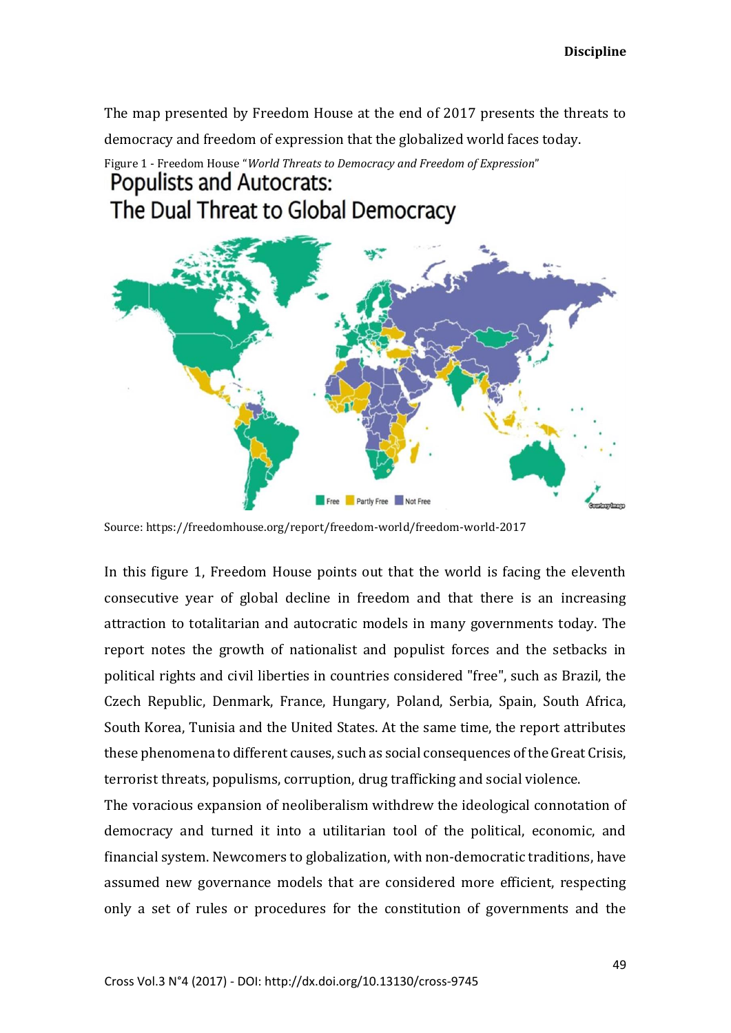The map presented by Freedom House at the end of 2017 presents the threats to democracy and freedom of expression that the globalized world faces today.

## Figure 1 - Freedom House "*World Threats to Democracy and Freedom of Expression*" **Populists and Autocrats:** The Dual Threat to Global Democracy



Source: https://freedomhouse.org/report/freedom-world/freedom-world-2017

In this figure 1, Freedom House points out that the world is facing the eleventh consecutive year of global decline in freedom and that there is an increasing attraction to totalitarian and autocratic models in many governments today. The report notes the growth of nationalist and populist forces and the setbacks in political rights and civil liberties in countries considered "free", such as Brazil, the Czech Republic, Denmark, France, Hungary, Poland, Serbia, Spain, South Africa, South Korea, Tunisia and the United States. At the same time, the report attributes these phenomena to different causes, such as social consequences of the Great Crisis, terrorist threats, populisms, corruption, drug trafficking and social violence.

The voracious expansion of neoliberalism withdrew the ideological connotation of democracy and turned it into a utilitarian tool of the political, economic, and financial system. Newcomers to globalization, with non-democratic traditions, have assumed new governance models that are considered more efficient, respecting only a set of rules or procedures for the constitution of governments and the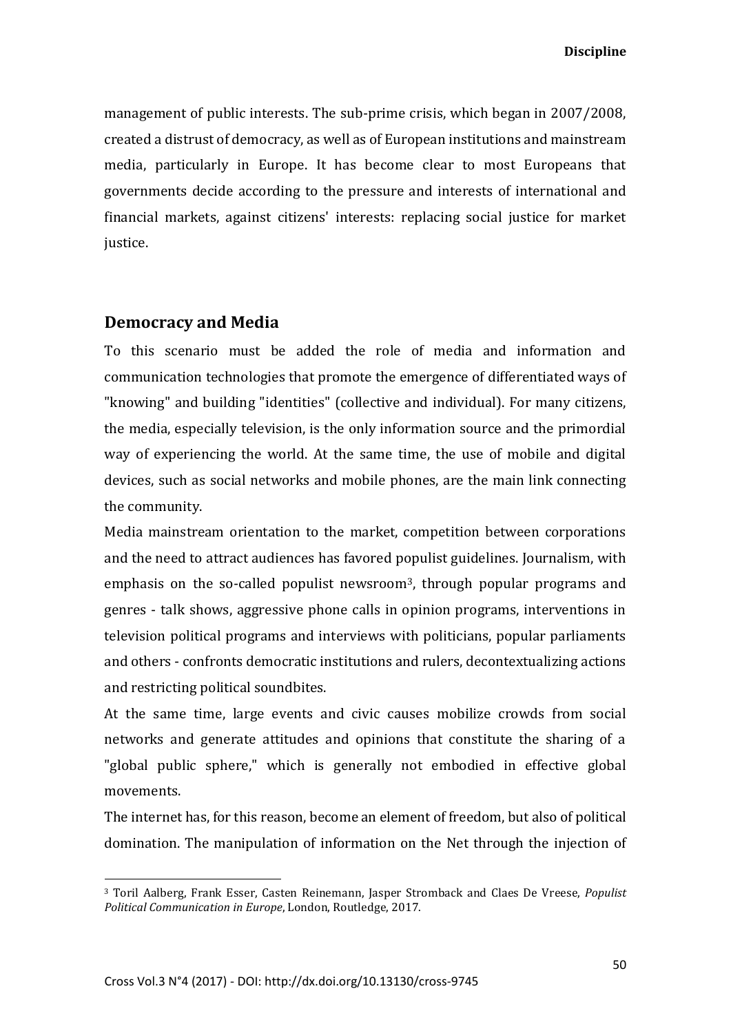management of public interests. The sub-prime crisis, which began in 2007/2008, created a distrust of democracy, as well as of European institutions and mainstream media, particularly in Europe. It has become clear to most Europeans that governments decide according to the pressure and interests of international and financial markets, against citizens' interests: replacing social justice for market justice.

#### **Democracy and Media**

**.** 

To this scenario must be added the role of media and information and communication technologies that promote the emergence of differentiated ways of "knowing" and building "identities" (collective and individual). For many citizens, the media, especially television, is the only information source and the primordial way of experiencing the world. At the same time, the use of mobile and digital devices, such as social networks and mobile phones, are the main link connecting the community.

Media mainstream orientation to the market, competition between corporations and the need to attract audiences has favored populist guidelines. Journalism, with emphasis on the so-called populist newsroom<sup>3</sup>, through popular programs and genres - talk shows, aggressive phone calls in opinion programs, interventions in television political programs and interviews with politicians, popular parliaments and others - confronts democratic institutions and rulers, decontextualizing actions and restricting political soundbites.

At the same time, large events and civic causes mobilize crowds from social networks and generate attitudes and opinions that constitute the sharing of a "global public sphere," which is generally not embodied in effective global movements.

The internet has, for this reason, become an element of freedom, but also of political domination. The manipulation of information on the Net through the injection of

<sup>3</sup> Toril Aalberg, Frank Esser, Casten Reinemann, Jasper Stromback and Claes De Vreese, *Populist Political Communication in Europe*, London, Routledge, 2017.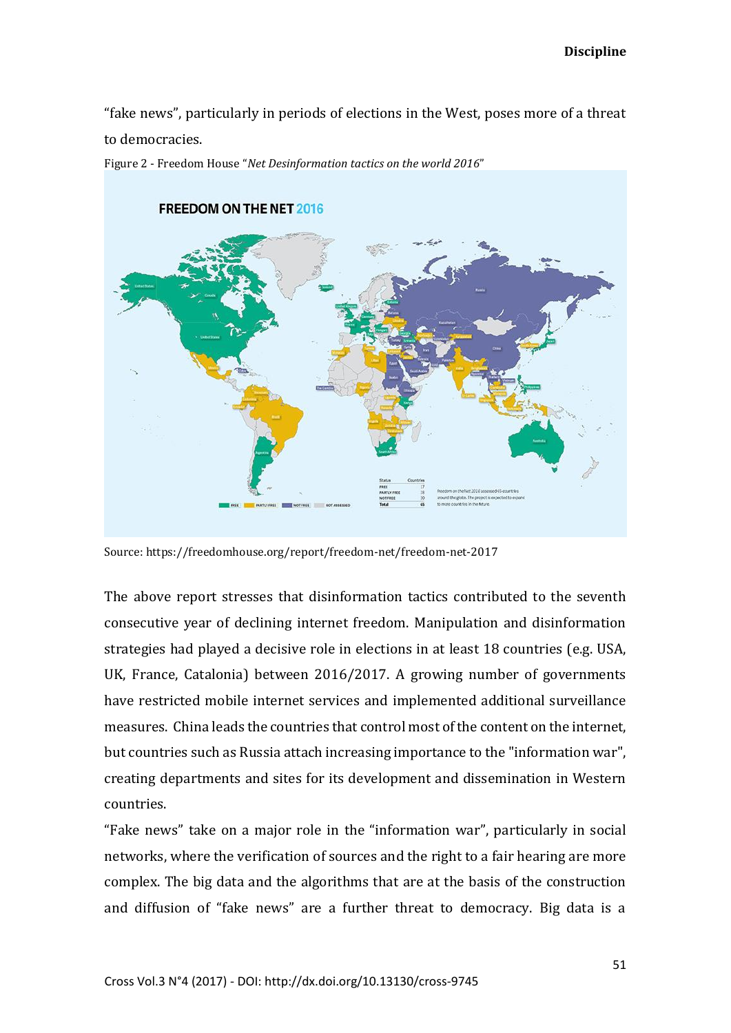"fake news", particularly in periods of elections in the West, poses more of a threat to democracies.



Figure 2 - Freedom House "*Net Desinformation tactics on the world 2016*"

Source: https://freedomhouse.org/report/freedom-net/freedom-net-2017

The above report stresses that disinformation tactics contributed to the seventh consecutive year of declining internet freedom. Manipulation and disinformation strategies had played a decisive role in elections in at least 18 countries (e.g. USA, UK, France, Catalonia) between 2016/2017. A growing number of governments have restricted mobile internet services and implemented additional surveillance measures. China leads the countries that control most of the content on the internet, but countries such as Russia attach increasing importance to the "information war", creating departments and sites for its development and dissemination in Western countries.

"Fake news" take on a major role in the "information war", particularly in social networks, where the verification of sources and the right to a fair hearing are more complex. The big data and the algorithms that are at the basis of the construction and diffusion of "fake news" are a further threat to democracy. Big data is a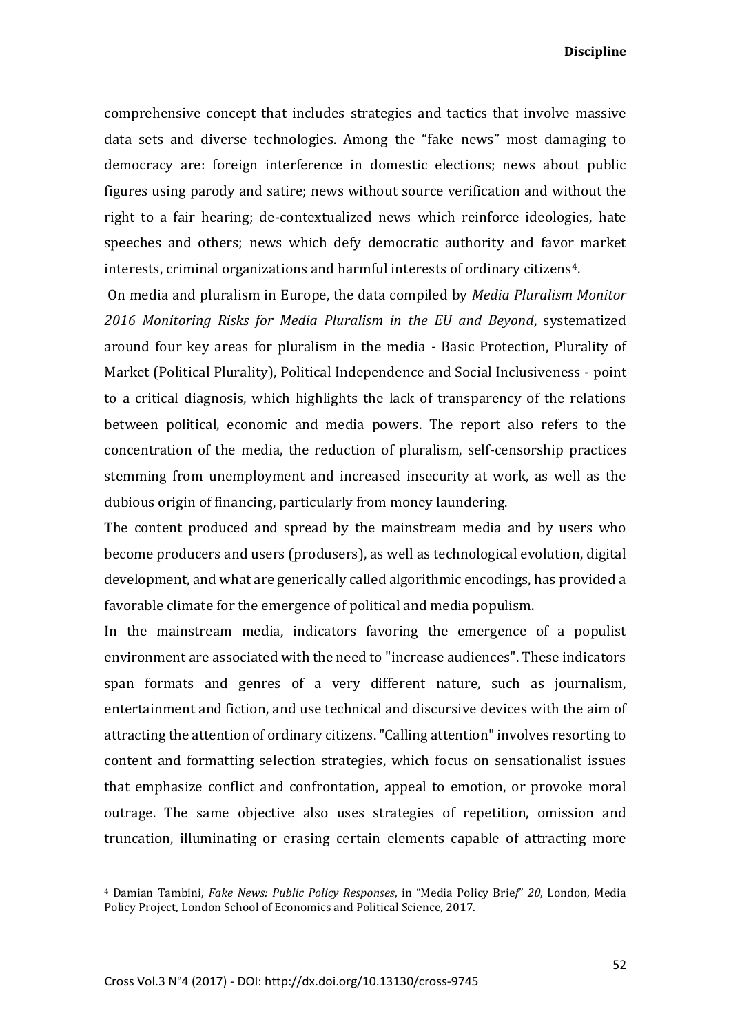comprehensive concept that includes strategies and tactics that involve massive data sets and diverse technologies. Among the "fake news" most damaging to democracy are: foreign interference in domestic elections; news about public figures using parody and satire; news without source verification and without the right to a fair hearing; de-contextualized news which reinforce ideologies, hate speeches and others; news which defy democratic authority and favor market interests, criminal organizations and harmful interests of ordinary citizens4.

On media and pluralism in Europe, the data compiled by *Media Pluralism Monitor 2016 Monitoring Risks for Media Pluralism in the EU and Beyond*, systematized around four key areas for pluralism in the media - Basic Protection, Plurality of Market (Political Plurality), Political Independence and Social Inclusiveness - point to a critical diagnosis, which highlights the lack of transparency of the relations between political, economic and media powers. The report also refers to the concentration of the media, the reduction of pluralism, self-censorship practices stemming from unemployment and increased insecurity at work, as well as the dubious origin of financing, particularly from money laundering.

The content produced and spread by the mainstream media and by users who become producers and users (produsers), as well as technological evolution, digital development, and what are generically called algorithmic encodings, has provided a favorable climate for the emergence of political and media populism.

In the mainstream media, indicators favoring the emergence of a populist environment are associated with the need to "increase audiences". These indicators span formats and genres of a very different nature, such as journalism, entertainment and fiction, and use technical and discursive devices with the aim of attracting the attention of ordinary citizens. "Calling attention" involves resorting to content and formatting selection strategies, which focus on sensationalist issues that emphasize conflict and confrontation, appeal to emotion, or provoke moral outrage. The same objective also uses strategies of repetition, omission and truncation, illuminating or erasing certain elements capable of attracting more

<sup>4</sup> Damian Tambini, *Fake News: Public Policy Responses*, in "Media Policy Brie*f*" *20*, London, Media Policy Project, London School of Economics and Political Science, 2017.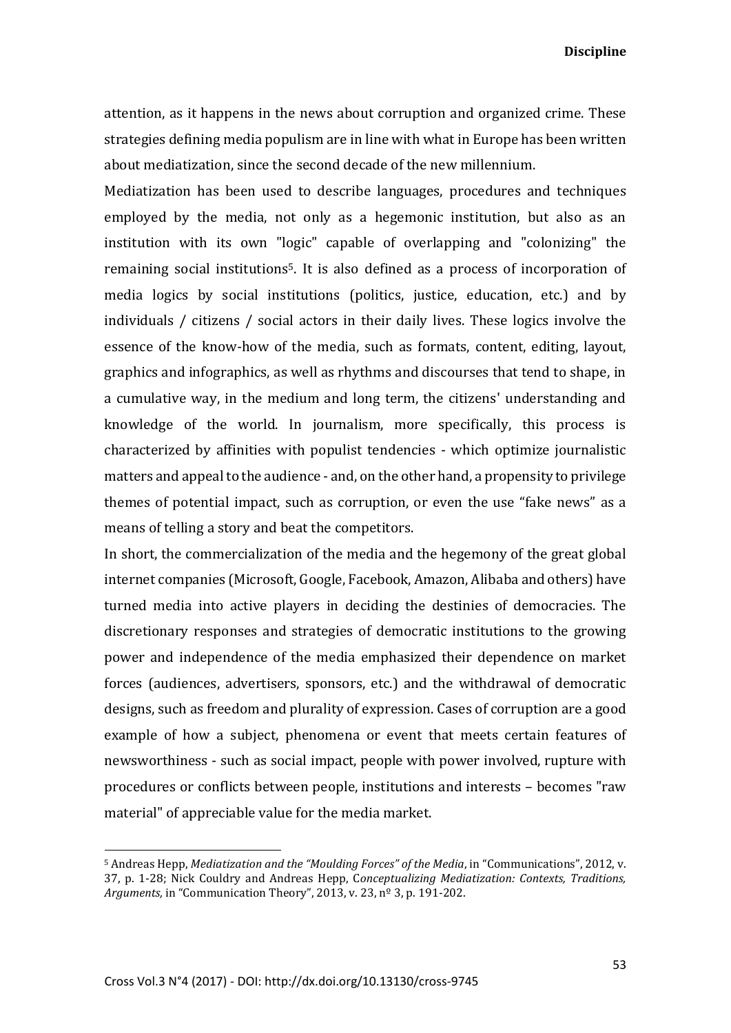attention, as it happens in the news about corruption and organized crime. These strategies defining media populism are in line with what in Europe has been written about mediatization, since the second decade of the new millennium.

Mediatization has been used to describe languages, procedures and techniques employed by the media, not only as a hegemonic institution, but also as an institution with its own "logic" capable of overlapping and "colonizing" the remaining social institutions5. It is also defined as a process of incorporation of media logics by social institutions (politics, justice, education, etc.) and by individuals / citizens / social actors in their daily lives. These logics involve the essence of the know-how of the media, such as formats, content, editing, layout, graphics and infographics, as well as rhythms and discourses that tend to shape, in a cumulative way, in the medium and long term, the citizens' understanding and knowledge of the world. In journalism, more specifically, this process is characterized by affinities with populist tendencies - which optimize journalistic matters and appeal to the audience - and, on the other hand, a propensity to privilege themes of potential impact, such as corruption, or even the use "fake news" as a means of telling a story and beat the competitors.

In short, the commercialization of the media and the hegemony of the great global internet companies (Microsoft, Google, Facebook, Amazon, Alibaba and others) have turned media into active players in deciding the destinies of democracies. The discretionary responses and strategies of democratic institutions to the growing power and independence of the media emphasized their dependence on market forces (audiences, advertisers, sponsors, etc.) and the withdrawal of democratic designs, such as freedom and plurality of expression. Cases of corruption are a good example of how a subject, phenomena or event that meets certain features of newsworthiness - such as social impact, people with power involved, rupture with procedures or conflicts between people, institutions and interests – becomes "raw material" of appreciable value for the media market.

<sup>5</sup> Andreas Hepp, *Mediatization and the "Moulding Forces" of the Media*, in "Communications", 2012, v. 37, p. 1-28; Nick Couldry and Andreas Hepp, C*onceptualizing Mediatization: Contexts, Traditions, Arguments,* in "Communication Theory", 2013, v. 23, nº 3, p. 191-202.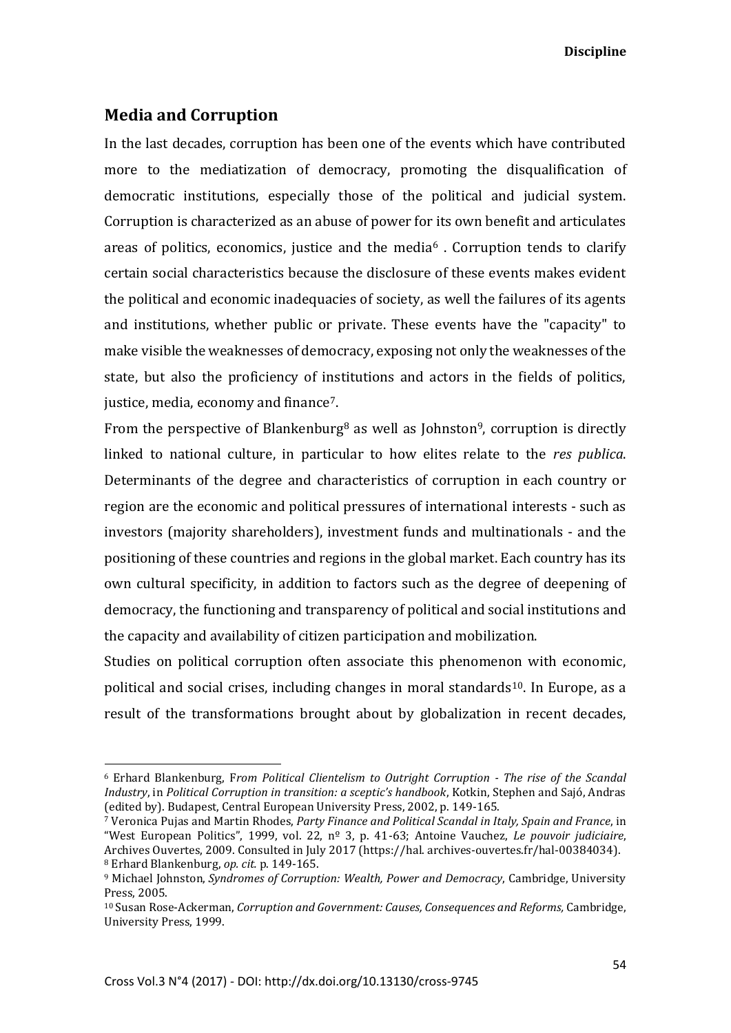## **Media and Corruption**

**.** 

In the last decades, corruption has been one of the events which have contributed more to the mediatization of democracy, promoting the disqualification of democratic institutions, especially those of the political and judicial system. Corruption is characterized as an abuse of power for its own benefit and articulates areas of politics, economics, justice and the media $6$ . Corruption tends to clarify certain social characteristics because the disclosure of these events makes evident the political and economic inadequacies of society, as well the failures of its agents and institutions, whether public or private. These events have the "capacity" to make visible the weaknesses of democracy, exposing not only the weaknesses of the state, but also the proficiency of institutions and actors in the fields of politics, justice, media, economy and finance7.

From the perspective of Blankenburg<sup>8</sup> as well as Johnston<sup>9</sup>, corruption is directly linked to national culture, in particular to how elites relate to the *res publica*. Determinants of the degree and characteristics of corruption in each country or region are the economic and political pressures of international interests - such as investors (majority shareholders), investment funds and multinationals - and the positioning of these countries and regions in the global market. Each country has its own cultural specificity, in addition to factors such as the degree of deepening of democracy, the functioning and transparency of political and social institutions and the capacity and availability of citizen participation and mobilization.

Studies on political corruption often associate this phenomenon with economic, political and social crises, including changes in moral standards<sup>10</sup>. In Europe, as a result of the transformations brought about by globalization in recent decades,

<sup>6</sup> Erhard Blankenburg, F*rom Political Clientelism to Outright Corruption - The rise of the Scandal Industry*, in *Political Corruption in transition: a sceptic's handbook*, Kotkin, Stephen and Sajó, Andras (edited by). Budapest, Central European University Press, 2002, p. 149-165.

<sup>7</sup> Veronica Pujas and Martin Rhodes, *Party Finance and Political Scandal in Italy, Spain and France*, in "West European Politics", 1999, vol. 22, nº 3, p. 41-63; Antoine Vauchez, *Le pouvoir judiciaire*, Archives Ouvertes, 2009. Consulted in July 2017 (https://hal. archives-ouvertes.fr/hal-00384034). <sup>8</sup> Erhard Blankenburg, *op. cit.* p. 149-165.

<sup>9</sup> Michael Johnston, *Syndromes of Corruption: Wealth, Power and Democracy*, Cambridge, University Press, 2005.

<sup>10</sup> Susan Rose-Ackerman, *Corruption and Government: Causes, Consequences and Reforms,* Cambridge, University Press, 1999.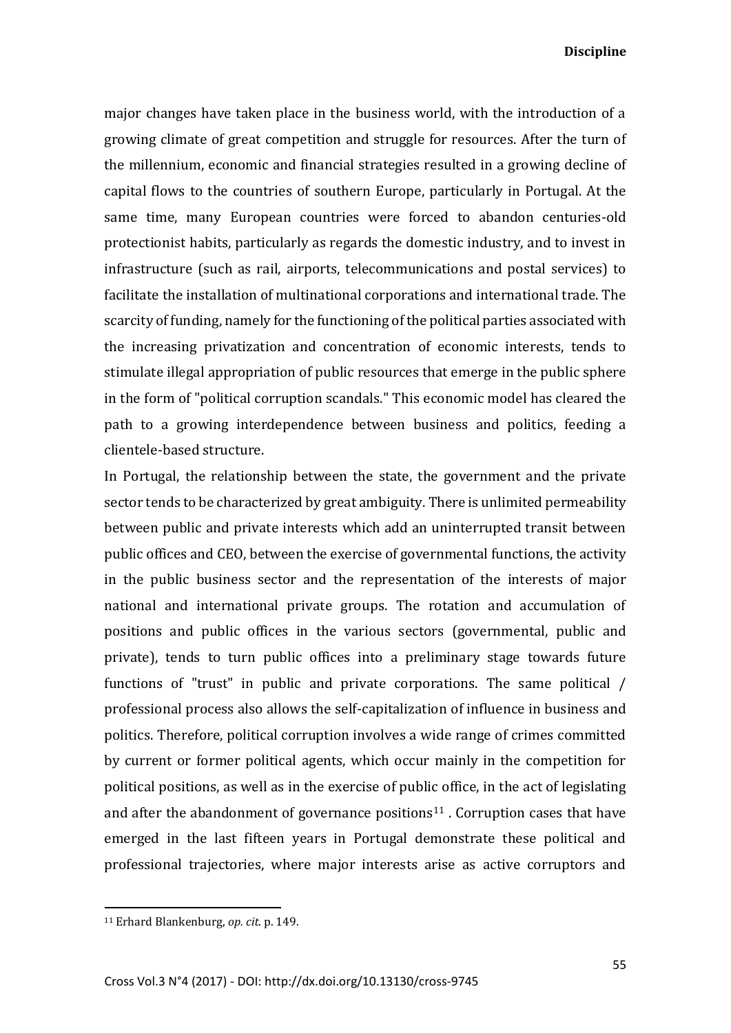major changes have taken place in the business world, with the introduction of a growing climate of great competition and struggle for resources. After the turn of the millennium, economic and financial strategies resulted in a growing decline of capital flows to the countries of southern Europe, particularly in Portugal. At the same time, many European countries were forced to abandon centuries-old protectionist habits, particularly as regards the domestic industry, and to invest in infrastructure (such as rail, airports, telecommunications and postal services) to facilitate the installation of multinational corporations and international trade. The scarcity of funding, namely for the functioning of the political parties associated with the increasing privatization and concentration of economic interests, tends to stimulate illegal appropriation of public resources that emerge in the public sphere in the form of "political corruption scandals." This economic model has cleared the path to a growing interdependence between business and politics, feeding a clientele-based structure.

In Portugal, the relationship between the state, the government and the private sector tends to be characterized by great ambiguity. There is unlimited permeability between public and private interests which add an uninterrupted transit between public offices and CEO, between the exercise of governmental functions, the activity in the public business sector and the representation of the interests of major national and international private groups. The rotation and accumulation of positions and public offices in the various sectors (governmental, public and private), tends to turn public offices into a preliminary stage towards future functions of "trust" in public and private corporations. The same political / professional process also allows the self-capitalization of influence in business and politics. Therefore, political corruption involves a wide range of crimes committed by current or former political agents, which occur mainly in the competition for political positions, as well as in the exercise of public office, in the act of legislating and after the abandonment of governance positions<sup>11</sup>. Corruption cases that have emerged in the last fifteen years in Portugal demonstrate these political and professional trajectories, where major interests arise as active corruptors and

 $\overline{a}$ 

<sup>11</sup> Erhard Blankenburg, *op. cit*. p. 149.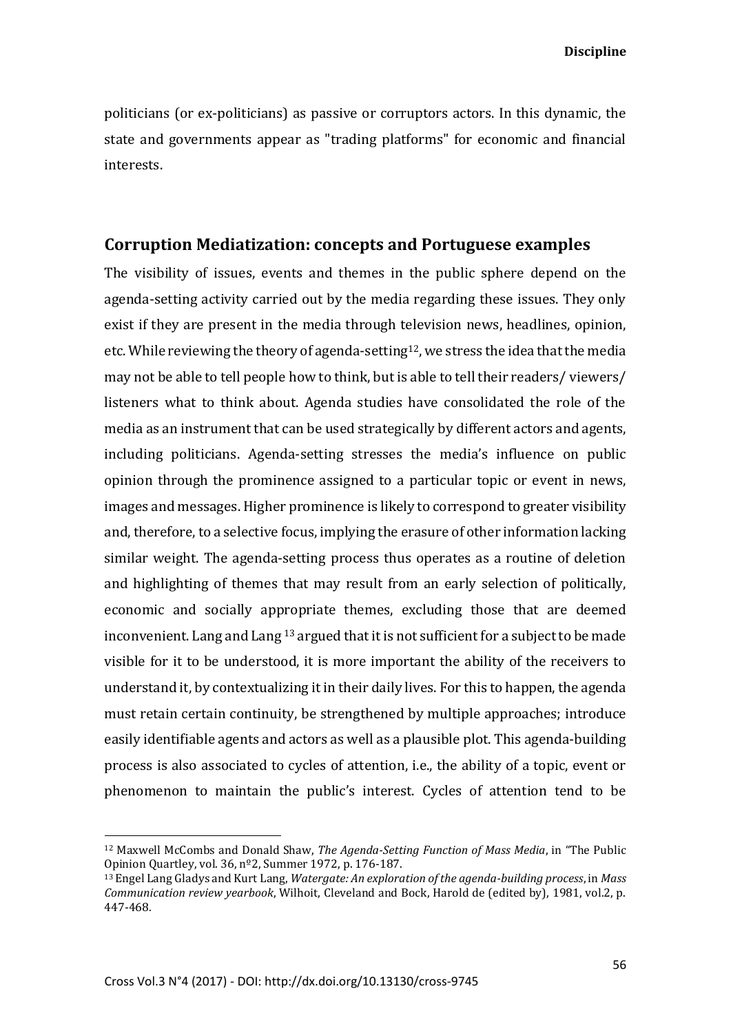politicians (or ex-politicians) as passive or corruptors actors. In this dynamic, the state and governments appear as "trading platforms" for economic and financial interests.

## **Corruption Mediatization: concepts and Portuguese examples**

The visibility of issues, events and themes in the public sphere depend on the agenda-setting activity carried out by the media regarding these issues. They only exist if they are present in the media through television news, headlines, opinion, etc. While reviewing the theory of agenda-setting<sup>12</sup>, we stress the idea that the media may not be able to tell people how to think, but is able to tell their readers/ viewers/ listeners what to think about. Agenda studies have consolidated the role of the media as an instrument that can be used strategically by different actors and agents, including politicians. Agenda-setting stresses the media's influence on public opinion through the prominence assigned to a particular topic or event in news, images and messages. Higher prominence is likely to correspond to greater visibility and, therefore, to a selective focus, implying the erasure of other information lacking similar weight. The agenda-setting process thus operates as a routine of deletion and highlighting of themes that may result from an early selection of politically, economic and socially appropriate themes, excluding those that are deemed inconvenient. Lang and Lang <sup>13</sup> argued that it is not sufficient for a subject to be made visible for it to be understood, it is more important the ability of the receivers to understand it, by contextualizing it in their daily lives. For this to happen, the agenda must retain certain continuity, be strengthened by multiple approaches; introduce easily identifiable agents and actors as well as a plausible plot. This agenda-building process is also associated to cycles of attention, i.e., the ability of a topic, event or phenomenon to maintain the public's interest. Cycles of attention tend to be

1

<sup>12</sup> Maxwell McCombs and Donald Shaw, *The Agenda-Setting Function of Mass Media*, in "The Public Opinion Quartley, vol. 36, nº2, Summer 1972, p. 176-187.

<sup>13</sup> Engel Lang Gladys and Kurt Lang, *Watergate: An exploration of the agenda-building process*, in *Mass Communication review yearbook*, Wilhoit, Cleveland and Bock, Harold de (edited by), 1981, vol.2, p. 447-468.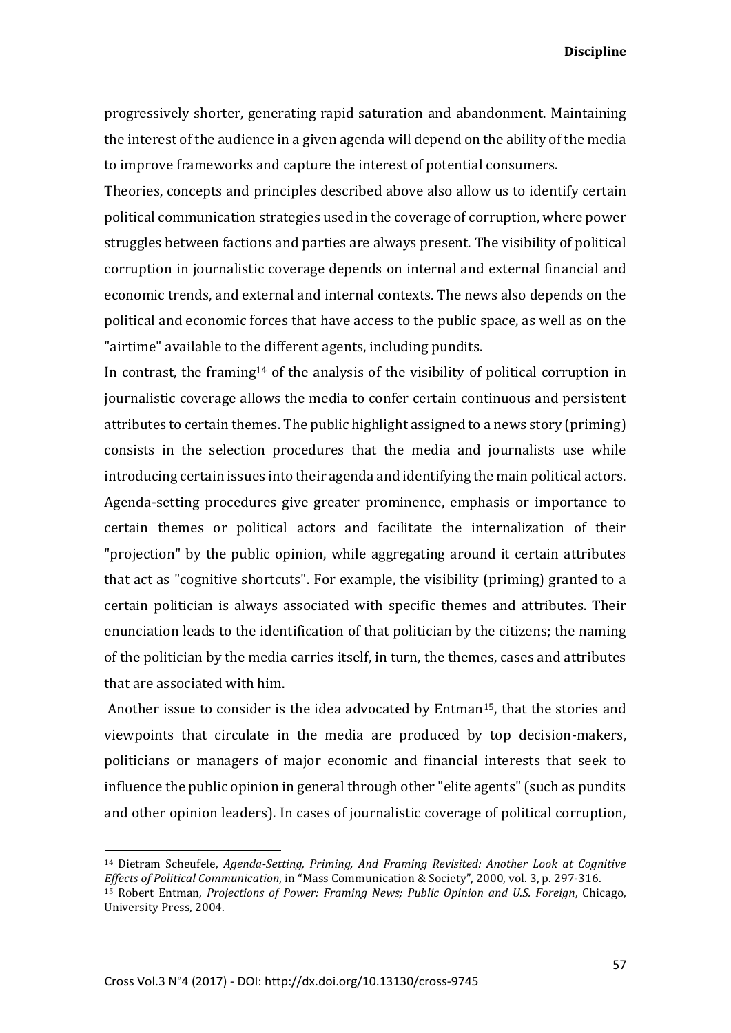progressively shorter, generating rapid saturation and abandonment. Maintaining the interest of the audience in a given agenda will depend on the ability of the media to improve frameworks and capture the interest of potential consumers.

Theories, concepts and principles described above also allow us to identify certain political communication strategies used in the coverage of corruption, where power struggles between factions and parties are always present. The visibility of political corruption in journalistic coverage depends on internal and external financial and economic trends, and external and internal contexts. The news also depends on the political and economic forces that have access to the public space, as well as on the "airtime" available to the different agents, including pundits.

In contrast, the framing<sup>14</sup> of the analysis of the visibility of political corruption in journalistic coverage allows the media to confer certain continuous and persistent attributes to certain themes. The public highlight assigned to a news story (priming) consists in the selection procedures that the media and journalists use while introducing certain issues into their agenda and identifying the main political actors. Agenda-setting procedures give greater prominence, emphasis or importance to certain themes or political actors and facilitate the internalization of their "projection" by the public opinion, while aggregating around it certain attributes that act as "cognitive shortcuts". For example, the visibility (priming) granted to a certain politician is always associated with specific themes and attributes. Their enunciation leads to the identification of that politician by the citizens; the naming of the politician by the media carries itself, in turn, the themes, cases and attributes that are associated with him.

Another issue to consider is the idea advocated by Entman15, that the stories and viewpoints that circulate in the media are produced by top decision-makers, politicians or managers of major economic and financial interests that seek to influence the public opinion in general through other "elite agents" (such as pundits and other opinion leaders). In cases of journalistic coverage of political corruption,

<sup>14</sup> Dietram Scheufele, *Agenda-Setting, Priming, And Framing Revisited: Another Look at Cognitive Effects of Political Communication*, in "Mass Communication & Society", 2000, vol. 3, p. 297-316. <sup>15</sup> Robert Entman, *Projections of Power: Framing News; Public Opinion and U.S. Foreign*, Chicago, University Press, 2004.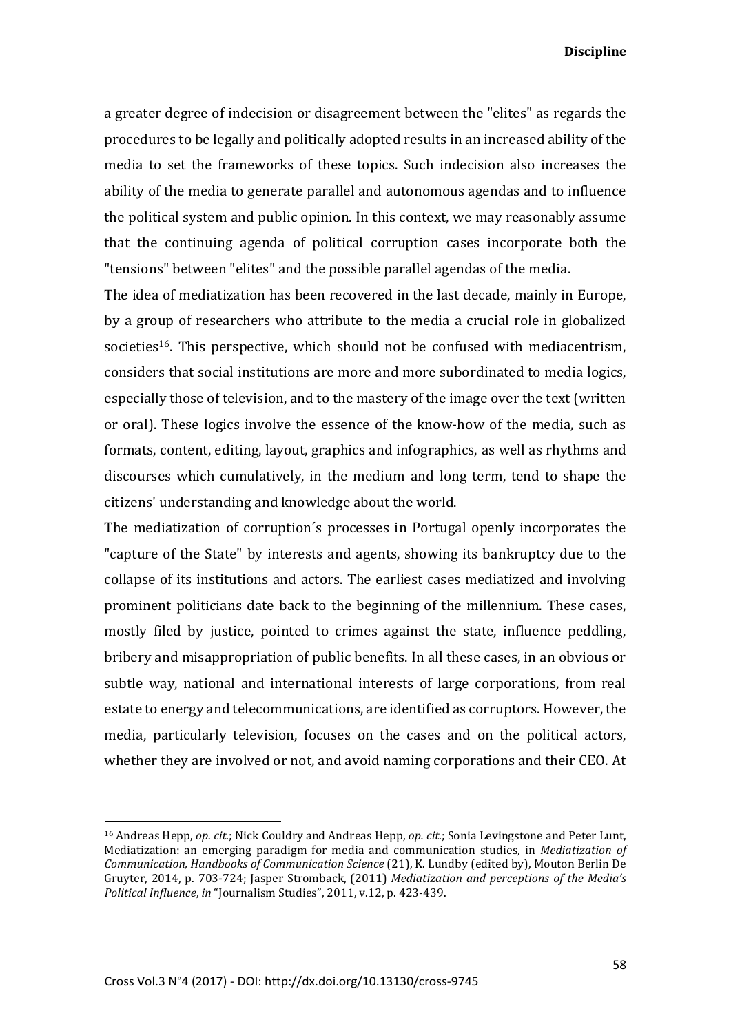a greater degree of indecision or disagreement between the "elites" as regards the procedures to be legally and politically adopted results in an increased ability of the media to set the frameworks of these topics. Such indecision also increases the ability of the media to generate parallel and autonomous agendas and to influence the political system and public opinion. In this context, we may reasonably assume that the continuing agenda of political corruption cases incorporate both the "tensions" between "elites" and the possible parallel agendas of the media.

The idea of mediatization has been recovered in the last decade, mainly in Europe, by a group of researchers who attribute to the media a crucial role in globalized societies<sup>16</sup>. This perspective, which should not be confused with mediacentrism, considers that social institutions are more and more subordinated to media logics, especially those of television, and to the mastery of the image over the text (written or oral). These logics involve the essence of the know-how of the media, such as formats, content, editing, layout, graphics and infographics, as well as rhythms and discourses which cumulatively, in the medium and long term, tend to shape the citizens' understanding and knowledge about the world.

The mediatization of corruption´s processes in Portugal openly incorporates the "capture of the State" by interests and agents, showing its bankruptcy due to the collapse of its institutions and actors. The earliest cases mediatized and involving prominent politicians date back to the beginning of the millennium. These cases, mostly filed by justice, pointed to crimes against the state, influence peddling, bribery and misappropriation of public benefits. In all these cases, in an obvious or subtle way, national and international interests of large corporations, from real estate to energy and telecommunications, are identified as corruptors. However, the media, particularly television, focuses on the cases and on the political actors, whether they are involved or not, and avoid naming corporations and their CEO. At

<sup>16</sup> Andreas Hepp, *op. cit*.; Nick Couldry and Andreas Hepp, *op. cit*.; Sonia Levingstone and Peter Lunt, Mediatization: an emerging paradigm for media and communication studies, in *Mediatization of Communication, Handbooks of Communication Science* (21), K. Lundby (edited by), Mouton Berlin De Gruyter, 2014, p. 703-724; Jasper Stromback, (2011) *Mediatization and perceptions of the Media's Political Influence*, *in* "Journalism Studies", 2011, v.12, p. 423-439.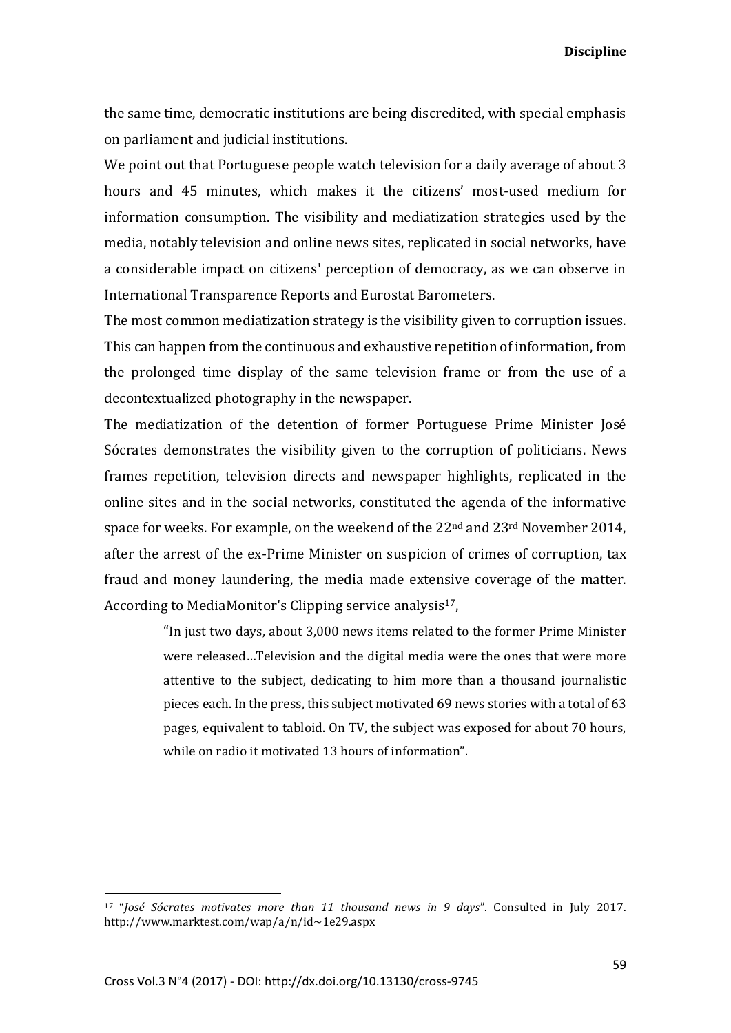the same time, democratic institutions are being discredited, with special emphasis on parliament and judicial institutions.

We point out that Portuguese people watch television for a daily average of about 3 hours and 45 minutes, which makes it the citizens' most-used medium for information consumption. The visibility and mediatization strategies used by the media, notably television and online news sites, replicated in social networks, have a considerable impact on citizens' perception of democracy, as we can observe in International Transparence Reports and Eurostat Barometers.

The most common mediatization strategy is the visibility given to corruption issues. This can happen from the continuous and exhaustive repetition of information, from the prolonged time display of the same television frame or from the use of a decontextualized photography in the newspaper.

The mediatization of the detention of former Portuguese Prime Minister José Sócrates demonstrates the visibility given to the corruption of politicians. News frames repetition, television directs and newspaper highlights, replicated in the online sites and in the social networks, constituted the agenda of the informative space for weeks. For example, on the weekend of the 22<sup>nd</sup> and 23<sup>rd</sup> November 2014, after the arrest of the ex-Prime Minister on suspicion of crimes of corruption, tax fraud and money laundering, the media made extensive coverage of the matter. According to MediaMonitor's Clipping service analysis<sup>17</sup>,

> "In just two days, about 3,000 news items related to the former Prime Minister were released…Television and the digital media were the ones that were more attentive to the subject, dedicating to him more than a thousand journalistic pieces each. In the press, this subject motivated 69 news stories with a total of 63 pages, equivalent to tabloid. On TV, the subject was exposed for about 70 hours, while on radio it motivated 13 hours of information".

 $\overline{a}$ 

<sup>17</sup> "*José Sócrates motivates more than 11 thousand news in 9 days*". Consulted in July 2017. http://www.marktest.com/wap/a/n/id~1e29.aspx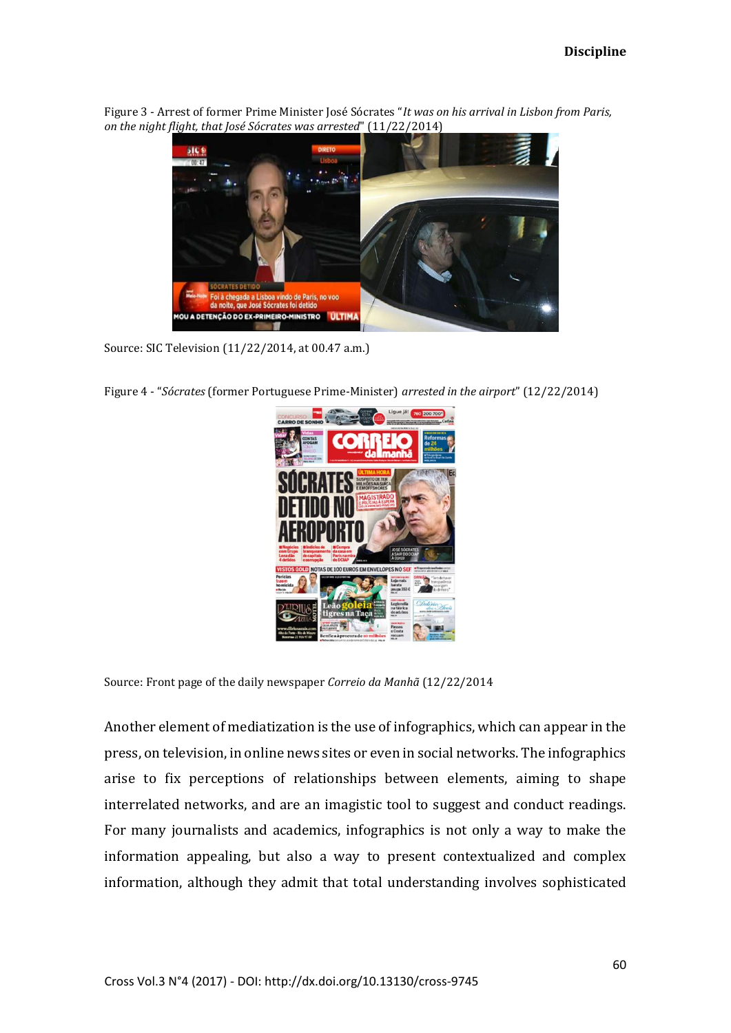Figure 3 - Arrest of former Prime Minister José Sócrates "*It was on his arrival in Lisbon from Paris, on the night flight, that José Sócrates was arrested*" (11/22/2014)



Source: SIC Television (11/22/2014, at 00.47 a.m.)

Figure 4 - "*Sócrates* (former Portuguese Prime-Minister) *arrested in the airport*" (12/22/2014)



Source: Front page of the daily newspaper *Correio da Manhã* (12/22/2014

Another element of mediatization is the use of infographics, which can appear in the press, on television, in online news sites or even in social networks. The infographics arise to fix perceptions of relationships between elements, aiming to shape interrelated networks, and are an imagistic tool to suggest and conduct readings. For many journalists and academics, infographics is not only a way to make the information appealing, but also a way to present contextualized and complex information, although they admit that total understanding involves sophisticated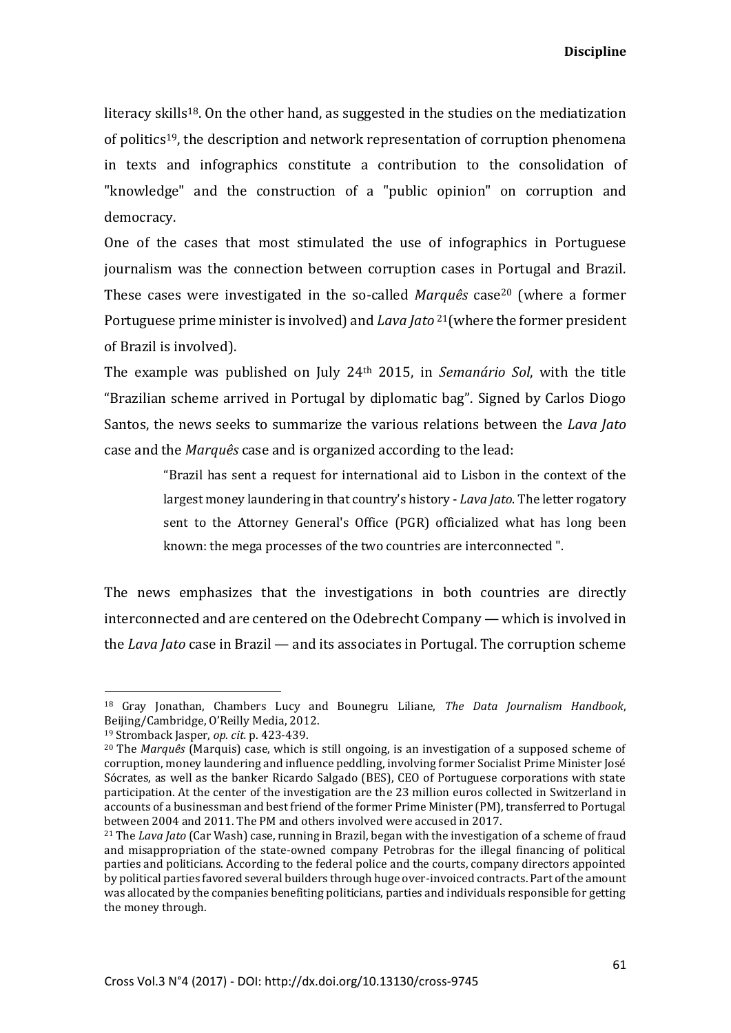literacy skills<sup>18</sup>. On the other hand, as suggested in the studies on the mediatization of politics19, the description and network representation of corruption phenomena in texts and infographics constitute a contribution to the consolidation of "knowledge" and the construction of a "public opinion" on corruption and democracy.

One of the cases that most stimulated the use of infographics in Portuguese journalism was the connection between corruption cases in Portugal and Brazil. These cases were investigated in the so-called *Marquês* case<sup>20</sup> (where a former Portuguese prime minister is involved) and *Lava Jato* <sup>21</sup>(where the former president of Brazil is involved).

The example was published on July 24th 2015, in *Semanário Sol*, with the title "Brazilian scheme arrived in Portugal by diplomatic bag". Signed by Carlos Diogo Santos, the news seeks to summarize the various relations between the *Lava Jato*  case and the *Marquês* case and is organized according to the lead:

> "Brazil has sent a request for international aid to Lisbon in the context of the largest money laundering in that country's history - *Lava Jato*. The letter rogatory sent to the Attorney General's Office (PGR) officialized what has long been known: the mega processes of the two countries are interconnected ".

The news emphasizes that the investigations in both countries are directly interconnected and are centered on the Odebrecht Company — which is involved in the *Lava Jato* case in Brazil — and its associates in Portugal. The corruption scheme

 $\overline{a}$ 

<sup>18</sup> Gray Jonathan, Chambers Lucy and Bounegru Liliane, *The Data Journalism Handbook*, Beijing/Cambridge, O'Reilly Media, 2012.

<sup>19</sup> Stromback Jasper, *op. cit.* p. 423-439.

<sup>20</sup> The *Marquês* (Marquis) case, which is still ongoing, is an investigation of a supposed scheme of corruption, money laundering and influence peddling, involving former Socialist Prime Minister José Sócrates, as well as the banker Ricardo Salgado (BES), CEO of Portuguese corporations with state participation. At the center of the investigation are the 23 million euros collected in Switzerland in accounts of a businessman and best friend of the former Prime Minister (PM), transferred to Portugal between 2004 and 2011. The PM and others involved were accused in 2017.

<sup>21</sup> The *Lava Jato* (Car Wash) case, running in Brazil, began with the investigation of a scheme of fraud and misappropriation of the state-owned company Petrobras for the illegal financing of political parties and politicians. According to the federal police and the courts, company directors appointed by political parties favored several builders through huge over-invoiced contracts. Part of the amount was allocated by the companies benefiting politicians, parties and individuals responsible for getting the money through.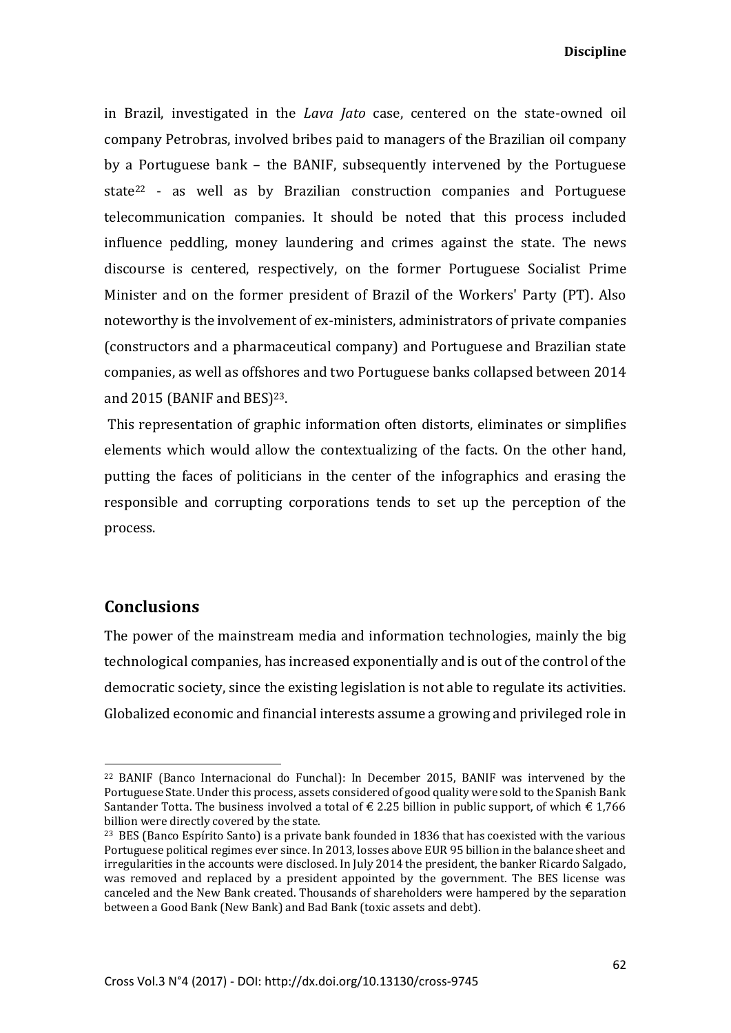in Brazil, investigated in the *Lava Jato* case, centered on the state-owned oil company Petrobras, involved bribes paid to managers of the Brazilian oil company by a Portuguese bank – the BANIF, subsequently intervened by the Portuguese state<sup>22</sup> - as well as by Brazilian construction companies and Portuguese telecommunication companies. It should be noted that this process included influence peddling, money laundering and crimes against the state. The news discourse is centered, respectively, on the former Portuguese Socialist Prime Minister and on the former president of Brazil of the Workers' Party (PT). Also noteworthy is the involvement of ex-ministers, administrators of private companies (constructors and a pharmaceutical company) and Portuguese and Brazilian state companies, as well as offshores and two Portuguese banks collapsed between 2014 and 2015 (BANIF and BES)23.

This representation of graphic information often distorts, eliminates or simplifies elements which would allow the contextualizing of the facts. On the other hand, putting the faces of politicians in the center of the infographics and erasing the responsible and corrupting corporations tends to set up the perception of the process.

#### **Conclusions**

**.** 

The power of the mainstream media and information technologies, mainly the big technological companies, has increased exponentially and is out of the control of the democratic society, since the existing legislation is not able to regulate its activities. Globalized economic and financial interests assume a growing and privileged role in

<sup>22</sup> BANIF (Banco Internacional do Funchal): In December 2015, BANIF was intervened by the Portuguese State. Under this process, assets considered of good quality were sold to the Spanish Bank Santander Totta. The business involved a total of  $\epsilon$  2.25 billion in public support, of which  $\epsilon$  1,766 billion were directly covered by the state.

<sup>&</sup>lt;sup>23</sup> BES (Banco Espírito Santo) is a private bank founded in 1836 that has coexisted with the various Portuguese political regimes ever since. In 2013, losses above EUR 95 billion in the balance sheet and irregularities in the accounts were disclosed. In July 2014 the president, the banker Ricardo Salgado, was removed and replaced by a president appointed by the government. The BES license was canceled and the New Bank created. Thousands of shareholders were hampered by the separation between a Good Bank (New Bank) and Bad Bank (toxic assets and debt).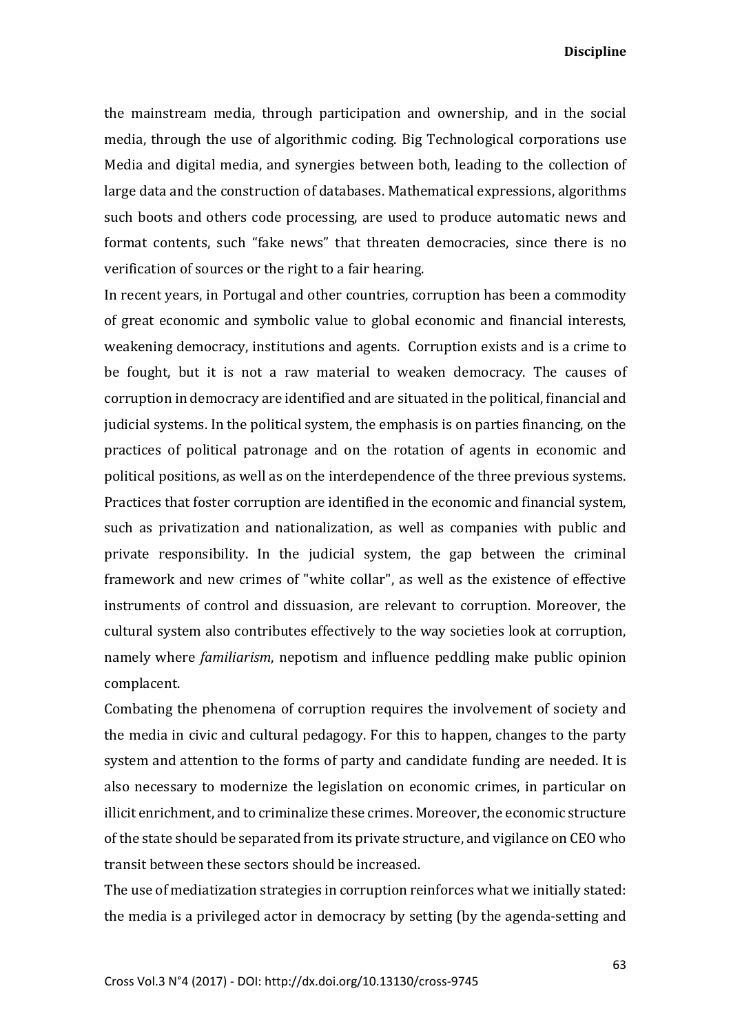the mainstream media, through participation and ownership, and in the social media, through the use of algorithmic coding. Big Technological corporations use Media and digital media, and synergies between both, leading to the collection of large data and the construction of databases. Mathematical expressions, algorithms such boots and others code processing, are used to produce automatic news and format contents, such "fake news" that threaten democracies, since there is no verification of sources or the right to a fair hearing.

In recent years, in Portugal and other countries, corruption has been a commodity of great economic and symbolic value to global economic and financial interests, weakening democracy, institutions and agents. Corruption exists and is a crime to be fought, but it is not a raw material to weaken democracy. The causes of corruption in democracy are identified and are situated in the political, financial and judicial systems. In the political system, the emphasis is on parties financing, on the practices of political patronage and on the rotation of agents in economic and political positions, as well as on the interdependence of the three previous systems. Practices that foster corruption are identified in the economic and financial system, such as privatization and nationalization, as well as companies with public and private responsibility. In the judicial system, the gap between the criminal framework and new crimes of "white collar", as well as the existence of effective instruments of control and dissuasion, are relevant to corruption. Moreover, the cultural system also contributes effectively to the way societies look at corruption, namely where *familiarism*, nepotism and influence peddling make public opinion complacent.

Combating the phenomena of corruption requires the involvement of society and the media in civic and cultural pedagogy. For this to happen, changes to the party system and attention to the forms of party and candidate funding are needed. It is also necessary to modernize the legislation on economic crimes, in particular on illicit enrichment, and to criminalize these crimes. Moreover, the economic structure of the state should be separated from its private structure, and vigilance on CEO who transit between these sectors should be increased.

The use of mediatization strategies in corruption reinforces what we initially stated: the media is a privileged actor in democracy by setting (by the agenda-setting and